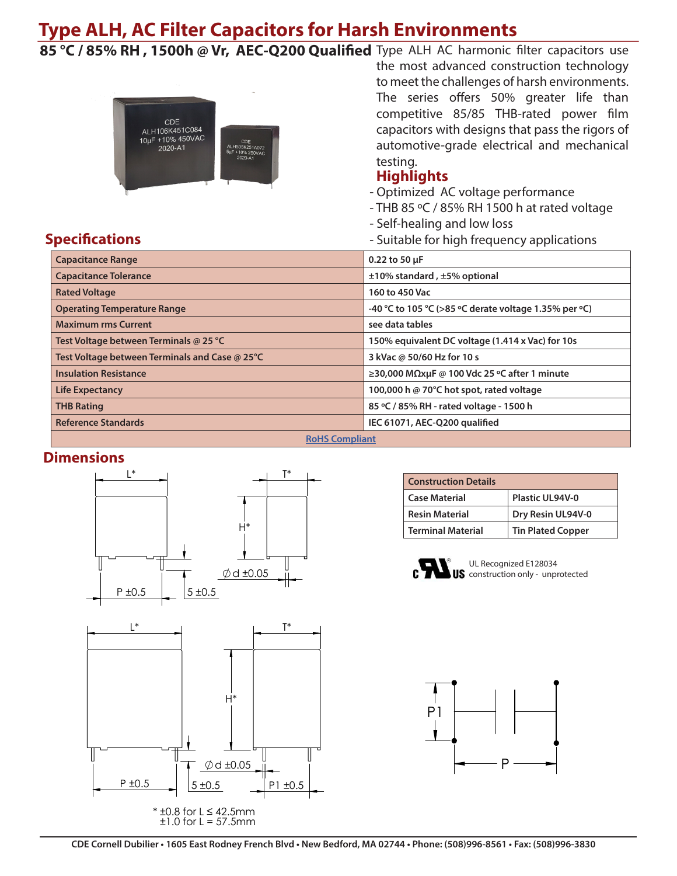# **Type ALH, AC Filter Capacitors for Harsh Environments**

85 °C / 85% RH, 1500h @ Vr, AEC-Q200 Qualified Type ALH AC harmonic filter capacitors use



the most advanced construction technology to meet the challenges of harsh environments. The series offers 50% greater life than competitive 85/85 THB-rated power film capacitors with designs that pass the rigors of automotive-grade electrical and mechanical testing.

### **Highlights**

- Optimized AC voltage performance
- THB 85 ºC / 85% RH 1500 h at rated voltage
- Self-healing and low loss
- Suitable for high frequency applications

| <b>Capacitance Range</b>                       | 0.22 to 50 µF                                         |  |  |  |  |  |  |
|------------------------------------------------|-------------------------------------------------------|--|--|--|--|--|--|
| <b>Capacitance Tolerance</b>                   | $±10\%$ standard, $±5\%$ optional                     |  |  |  |  |  |  |
| <b>Rated Voltage</b>                           | 160 to 450 Vac                                        |  |  |  |  |  |  |
| <b>Operating Temperature Range</b>             | -40 °C to 105 °C (>85 °C derate voltage 1.35% per °C) |  |  |  |  |  |  |
| <b>Maximum rms Current</b>                     | see data tables                                       |  |  |  |  |  |  |
| Test Voltage between Terminals @ 25 °C         | 150% equivalent DC voltage (1.414 x Vac) for 10s      |  |  |  |  |  |  |
| Test Voltage between Terminals and Case @ 25°C | 3 kVac @ 50/60 Hz for 10 s                            |  |  |  |  |  |  |
| <b>Insulation Resistance</b>                   | ≥30,000 MΩxμF @ 100 Vdc 25 °C after 1 minute          |  |  |  |  |  |  |
| <b>Life Expectancy</b>                         | 100,000 h @ 70°C hot spot, rated voltage              |  |  |  |  |  |  |
| <b>THB Rating</b>                              | 85 °C / 85% RH - rated voltage - 1500 h               |  |  |  |  |  |  |
| <b>Reference Standards</b>                     | IEC 61071, AEC-Q200 qualified                         |  |  |  |  |  |  |
| <b>RoHS Compliant</b>                          |                                                       |  |  |  |  |  |  |

#### **Dimensions**

**Specifications**



| <b>Construction Details</b> |                          |
|-----------------------------|--------------------------|
| <b>Case Material</b>        | <b>Plastic UL94V-0</b>   |
| <b>Resin Material</b>       | Dry Resin UL94V-0        |
| <b>Terminal Material</b>    | <b>Tin Plated Copper</b> |



UL Recognized E128034 **US** construction only - unprotected





 $\pm 1.0$  for L = 57.5mm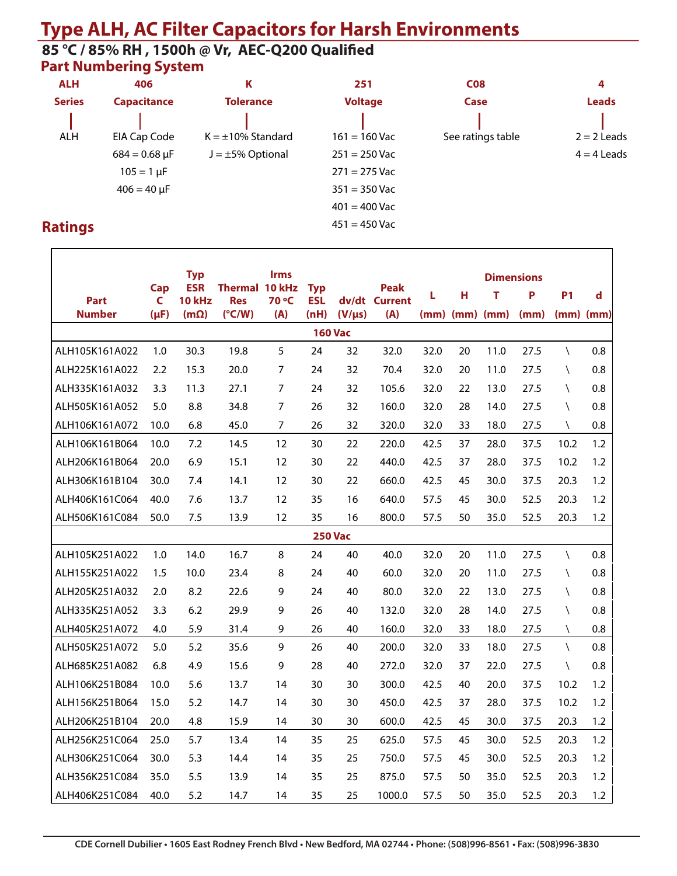# **Type ALH, AC Filter Capacitors for Harsh Environments**

#### **Part Numbering System 85 °C / 85% RH , 1500h @ Vr, AEC-Q200 Qualified**

| <b>ALH</b><br>406 |                      | К                       | 251             | <b>C08</b>        | 4             |  |  |
|-------------------|----------------------|-------------------------|-----------------|-------------------|---------------|--|--|
| <b>Series</b>     | <b>Capacitance</b>   | <b>Tolerance</b>        | <b>Voltage</b>  | Case              | <b>Leads</b>  |  |  |
| ALH               | EIA Cap Code         | $K = \pm 10\%$ Standard | $161 = 160$ Vac | See ratings table | $2 = 2$ Leads |  |  |
|                   | $684 = 0.68 \,\mu F$ | $J = \pm 5\%$ Optional  | $251 = 250$ Vac |                   | $4 = 4$ Leads |  |  |
|                   | $105 = 1 \,\mu F$    |                         | $271 = 275$ Vac |                   |               |  |  |
|                   | $406 = 40 \mu F$     |                         | $351 = 350$ Vac |                   |               |  |  |
|                   |                      |                         | $401 = 400$ Vac |                   |               |  |  |
| <b>atinas</b>     |                      |                         | $451 = 450$ Vac |                   |               |  |  |

## **Ratings**

|                | Cap       | <b>Typ</b><br><b>ESR</b> | Thermal 10 kHz  | <b>Irms</b> | <b>Typ</b> |                | <b>Peak</b>   |      |                      |      | <b>Dimensions</b> |             |               |
|----------------|-----------|--------------------------|-----------------|-------------|------------|----------------|---------------|------|----------------------|------|-------------------|-------------|---------------|
| <b>Part</b>    | C         | 10 kHz                   | <b>Res</b>      | 70 °C       | <b>ESL</b> |                | dv/dt Current | L    | н                    | т    | P                 | <b>P1</b>   | d             |
| <b>Number</b>  | $(\mu F)$ | $(m\Omega)$              | $(^{\circ}C/W)$ | (A)         | (nH)       | $(V/\mu s)$    | (A)           |      | $(mm)$ $(mm)$ $(mm)$ |      | (mm)              |             | $(mm)$ $(mm)$ |
|                |           |                          |                 |             |            | <b>160 Vac</b> |               |      |                      |      |                   |             |               |
| ALH105K161A022 | 1.0       | 30.3                     | 19.8            | 5           | 24         | 32             | 32.0          | 32.0 | 20                   | 11.0 | 27.5              | $\setminus$ | 0.8           |
| ALH225K161A022 | 2.2       | 15.3                     | 20.0            | 7           | 24         | 32             | 70.4          | 32.0 | 20                   | 11.0 | 27.5              | $\lambda$   | 0.8           |
| ALH335K161A032 | 3.3       | 11.3                     | 27.1            | 7           | 24         | 32             | 105.6         | 32.0 | 22                   | 13.0 | 27.5              | $\setminus$ | 0.8           |
| ALH505K161A052 | 5.0       | 8.8                      | 34.8            | 7           | 26         | 32             | 160.0         | 32.0 | 28                   | 14.0 | 27.5              | $\setminus$ | 0.8           |
| ALH106K161A072 | 10.0      | 6.8                      | 45.0            | 7           | 26         | 32             | 320.0         | 32.0 | 33                   | 18.0 | 27.5              | $\setminus$ | 0.8           |
| ALH106K161B064 | 10.0      | 7.2                      | 14.5            | 12          | 30         | 22             | 220.0         | 42.5 | 37                   | 28.0 | 37.5              | 10.2        | 1.2           |
| ALH206K161B064 | 20.0      | 6.9                      | 15.1            | 12          | 30         | 22             | 440.0         | 42.5 | 37                   | 28.0 | 37.5              | 10.2        | 1.2           |
| ALH306K161B104 | 30.0      | 7.4                      | 14.1            | 12          | 30         | 22             | 660.0         | 42.5 | 45                   | 30.0 | 37.5              | 20.3        | 1.2           |
| ALH406K161C064 | 40.0      | 7.6                      | 13.7            | 12          | 35         | 16             | 640.0         | 57.5 | 45                   | 30.0 | 52.5              | 20.3        | 1.2           |
| ALH506K161C084 | 50.0      | 7.5                      | 13.9            | 12          | 35         | 16             | 800.0         | 57.5 | 50                   | 35.0 | 52.5              | 20.3        | 1.2           |
|                |           |                          |                 |             |            | <b>250 Vac</b> |               |      |                      |      |                   |             |               |
| ALH105K251A022 | 1.0       | 14.0                     | 16.7            | 8           | 24         | 40             | 40.0          | 32.0 | 20                   | 11.0 | 27.5              | $\setminus$ | 0.8           |
| ALH155K251A022 | 1.5       | 10.0                     | 23.4            | 8           | 24         | 40             | 60.0          | 32.0 | 20                   | 11.0 | 27.5              | $\lambda$   | 0.8           |
| ALH205K251A032 | 2.0       | 8.2                      | 22.6            | 9           | 24         | 40             | 80.0          | 32.0 | 22                   | 13.0 | 27.5              | $\lambda$   | 0.8           |
| ALH335K251A052 | 3.3       | 6.2                      | 29.9            | 9           | 26         | 40             | 132.0         | 32.0 | 28                   | 14.0 | 27.5              | $\setminus$ | 0.8           |
| ALH405K251A072 | 4.0       | 5.9                      | 31.4            | 9           | 26         | 40             | 160.0         | 32.0 | 33                   | 18.0 | 27.5              | $\lambda$   | 0.8           |
| ALH505K251A072 | 5.0       | 5.2                      | 35.6            | 9           | 26         | 40             | 200.0         | 32.0 | 33                   | 18.0 | 27.5              | $\setminus$ | 0.8           |
| ALH685K251A082 | 6.8       | 4.9                      | 15.6            | 9           | 28         | 40             | 272.0         | 32.0 | 37                   | 22.0 | 27.5              | $\lambda$   | 0.8           |
| ALH106K251B084 | 10.0      | 5.6                      | 13.7            | 14          | 30         | 30             | 300.0         | 42.5 | 40                   | 20.0 | 37.5              | 10.2        | 1.2           |
| ALH156K251B064 | 15.0      | 5.2                      | 14.7            | 14          | 30         | 30             | 450.0         | 42.5 | 37                   | 28.0 | 37.5              | 10.2        | 1.2           |
| ALH206K251B104 | 20.0      | 4.8                      | 15.9            | 14          | 30         | 30             | 600.0         | 42.5 | 45                   | 30.0 | 37.5              | 20.3        | 1.2           |
| ALH256K251C064 | 25.0      | 5.7                      | 13.4            | 14          | 35         | 25             | 625.0         | 57.5 | 45                   | 30.0 | 52.5              | 20.3        | 1.2           |
| ALH306K251C064 | 30.0      | 5.3                      | 14.4            | 14          | 35         | 25             | 750.0         | 57.5 | 45                   | 30.0 | 52.5              | 20.3        | 1.2           |
| ALH356K251C084 | 35.0      | 5.5                      | 13.9            | 14          | 35         | 25             | 875.0         | 57.5 | 50                   | 35.0 | 52.5              | 20.3        | 1.2           |
| ALH406K251C084 | 40.0      | 5.2                      | 14.7            | 14          | 35         | 25             | 1000.0        | 57.5 | 50                   | 35.0 | 52.5              | 20.3        | 1.2           |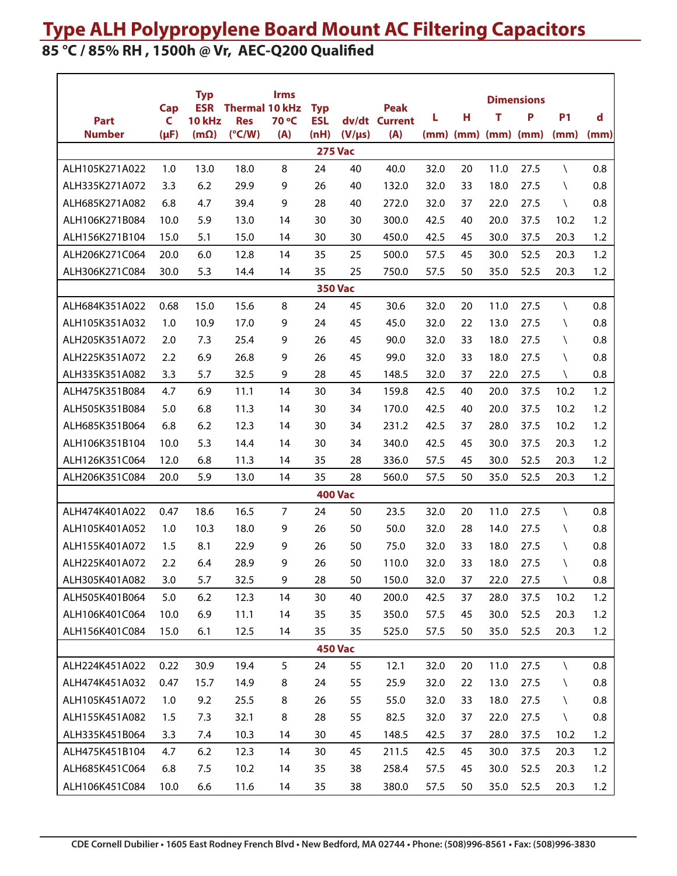# **Type ALH Polypropylene Board Mount AC Filtering Capacitors**

## **85 °C / 85% RH , 1500h @ Vr, AEC-Q200 Qualified**

|                                  |           | <b>Typ</b>                  |                               | <b>Irms</b>    |                          |                |                      |      |    |                             | <b>Dimensions</b> |              |      |
|----------------------------------|-----------|-----------------------------|-------------------------------|----------------|--------------------------|----------------|----------------------|------|----|-----------------------------|-------------------|--------------|------|
|                                  | Cap<br>C  | <b>ESR</b><br><b>10 kHz</b> | <b>Thermal 10 kHz</b>         | 70 °C          | <b>Typ</b><br><b>ESL</b> |                | <b>Peak</b>          | L    | н  | т                           | P                 | <b>P1</b>    | d    |
| <b>Part</b><br><b>Number</b>     | $(\mu F)$ | $(m\Omega)$                 | <b>Res</b><br>$(^{\circ}C/W)$ | (A)            | (nH)                     | $(V/\mu s)$    | dv/dt Current<br>(A) |      |    | $(mm)$ $(mm)$ $(mm)$ $(mm)$ |                   | (mm)         | (mm) |
|                                  |           |                             |                               |                |                          | <b>275 Vac</b> |                      |      |    |                             |                   |              |      |
| ALH105K271A022                   | 1.0       | 13.0                        | 18.0                          | 8              | 24                       | 40             | 40.0                 | 32.0 | 20 | 11.0                        | 27.5              | X            | 0.8  |
| ALH335K271A072                   | 3.3       | 6.2                         | 29.9                          | 9              | 26                       | 40             | 132.0                | 32.0 | 33 | 18.0                        | 27.5              | $\setminus$  | 0.8  |
| ALH685K271A082                   | 6.8       | 4.7                         | 39.4                          | 9              | 28                       | 40             | 272.0                | 32.0 | 37 | 22.0                        | 27.5              | $\setminus$  | 0.8  |
| ALH106K271B084                   | 10.0      | 5.9                         | 13.0                          | 14             | 30                       | 30             | 300.0                | 42.5 | 40 | 20.0                        | 37.5              | 10.2         | 1.2  |
| ALH156K271B104                   | 15.0      | 5.1                         | 15.0                          | 14             | 30                       | 30             | 450.0                | 42.5 | 45 | 30.0                        | 37.5              | 20.3         | 1.2  |
| ALH206K271C064                   | 20.0      | 6.0                         | 12.8                          | 14             | 35                       | 25             | 500.0                | 57.5 | 45 | 30.0                        | 52.5              | 20.3         | 1.2  |
| ALH306K271C084                   | 30.0      | 5.3                         | 14.4                          | 14             | 35                       | 25             | 750.0                | 57.5 | 50 | 35.0                        | 52.5              | 20.3         | 1.2  |
|                                  |           |                             |                               |                |                          | <b>350 Vac</b> |                      |      |    |                             |                   |              |      |
| ALH684K351A022                   | 0.68      | 15.0                        | 15.6                          | 8              | 24                       | 45             | 30.6                 | 32.0 | 20 | 11.0                        | 27.5              | $\setminus$  | 0.8  |
| ALH105K351A032                   | 1.0       | 10.9                        | 17.0                          | 9              | 24                       | 45             | 45.0                 | 32.0 | 22 | 13.0                        | 27.5              | $\lambda$    | 0.8  |
| ALH205K351A072                   | 2.0       | 7.3                         | 25.4                          | 9              | 26                       | 45             | 90.0                 | 32.0 | 33 | 18.0                        | 27.5              | $\setminus$  | 0.8  |
| ALH225K351A072                   | 2.2       | 6.9                         | 26.8                          | 9              | 26                       | 45             | 99.0                 | 32.0 | 33 | 18.0                        | 27.5              | $\setminus$  | 0.8  |
| ALH335K351A082                   | 3.3       | 5.7                         | 32.5                          | 9              | 28                       | 45             | 148.5                | 32.0 | 37 | 22.0                        | 27.5              | $\setminus$  | 0.8  |
| ALH475K351B084                   | 4.7       | 6.9                         | 11.1                          | 14             | 30                       | 34             | 159.8                | 42.5 | 40 | 20.0                        | 37.5              | 10.2         | 1.2  |
| ALH505K351B084                   | 5.0       | 6.8                         | 11.3                          | 14             | 30                       | 34             | 170.0                | 42.5 | 40 | 20.0                        | 37.5              | 10.2         | 1.2  |
| ALH685K351B064                   | 6.8       | 6.2                         | 12.3                          | 14             | 30                       | 34             | 231.2                | 42.5 | 37 | 28.0                        | 37.5              | 10.2         | 1.2  |
| ALH106K351B104                   | 10.0      | 5.3                         | 14.4                          | 14             | 30                       | 34             | 340.0                | 42.5 | 45 | 30.0                        | 37.5              | 20.3         | 1.2  |
| ALH126K351C064                   | 12.0      | 6.8                         | 11.3                          | 14             | 35                       | 28             | 336.0                | 57.5 | 45 | 30.0                        | 52.5              | 20.3         | 1.2  |
| ALH206K351C084                   | 20.0      | 5.9                         | 13.0                          | 14             | 35                       | 28             | 560.0                | 57.5 | 50 | 35.0                        | 52.5              | 20.3         | 1.2  |
|                                  |           |                             |                               |                |                          | <b>400 Vac</b> |                      |      |    |                             |                   |              |      |
| ALH474K401A022                   | 0.47      | 18.6                        | 16.5                          | $\overline{7}$ | 24                       | 50             | 23.5                 | 32.0 | 20 | 11.0                        | 27.5              | $\setminus$  | 0.8  |
| ALH105K401A052                   | 1.0       | 10.3                        | 18.0                          | 9              | 26                       | 50             | 50.0                 | 32.0 | 28 | 14.0                        | 27.5              | $\setminus$  | 0.8  |
| ALH155K401A072                   | 1.5       | 8.1                         | 22.9                          | 9              | 26                       | 50             | 75.0                 | 32.0 | 33 | 18.0                        | 27.5              | $\setminus$  | 0.8  |
| ALH225K401A072                   | 2.2       | 6.4                         | 28.9                          | 9              | 26                       | 50             | 110.0                | 32.0 | 33 | 18.0                        | 27.5              | $\setminus$  | 0.8  |
| ALH305K401A082                   | 3.0       | 5.7                         | 32.5                          | 9              | 28                       | 50             | 150.0                | 32.0 | 37 | 22.0                        | 27.5              | $\backslash$ | 0.8  |
| ALH505K401B064                   | $5.0$     | 6.2                         | 12.3                          | 14             | 30                       | 40             | 200.0                | 42.5 | 37 | 28.0                        | 37.5              | 10.2         | 1.2  |
| ALH106K401C064                   | 10.0      | 6.9                         | 11.1                          | 14             | 35                       | 35             | 350.0                | 57.5 | 45 | 30.0                        | 52.5              | 20.3         | 1.2  |
| ALH156K401C084                   | 15.0      | 6.1                         | 12.5                          | 14             | 35                       | 35             | 525.0                | 57.5 | 50 | 35.0                        | 52.5              | 20.3         | 1.2  |
|                                  |           |                             |                               |                |                          | <b>450 Vac</b> |                      |      |    |                             |                   |              |      |
| ALH224K451A022                   | 0.22      | 30.9                        | 19.4                          | 5              | 24                       | 55             | 12.1                 | 32.0 | 20 | 11.0                        | 27.5              | $\setminus$  | 0.8  |
| ALH474K451A032<br>ALH105K451A072 | 0.47      | 15.7                        | 14.9                          | 8              | 24                       | 55             | 25.9                 | 32.0 | 22 | 13.0                        | 27.5              | $\setminus$  | 0.8  |
| ALH155K451A082                   | 1.0       | 9.2                         | 25.5                          | 8              | 26                       | 55             | 55.0                 | 32.0 | 33 | 18.0                        | 27.5              | A.           | 0.8  |
|                                  | 1.5       | 7.3                         | 32.1                          | 8              | 28                       | 55             | 82.5                 | 32.0 | 37 | 22.0                        | 27.5              | N            | 0.8  |
| ALH335K451B064                   | 3.3       | 7.4                         | 10.3                          | 14             | 30                       | 45             | 148.5                | 42.5 | 37 | 28.0                        | 37.5              | 10.2         | 1.2  |
| ALH475K451B104                   | 4.7       | 6.2                         | 12.3                          | 14             | 30                       | 45             | 211.5                | 42.5 | 45 | 30.0                        | 37.5              | 20.3         | 1.2  |
| ALH685K451C064                   | 6.8       | 7.5                         | 10.2                          | 14             | 35                       | 38             | 258.4                | 57.5 | 45 | 30.0                        | 52.5              | 20.3         | 1.2  |
| ALH106K451C084                   | 10.0      | 6.6                         | 11.6                          | 14             | 35                       | 38             | 380.0                | 57.5 | 50 | 35.0                        | 52.5              | 20.3         | 1.2  |